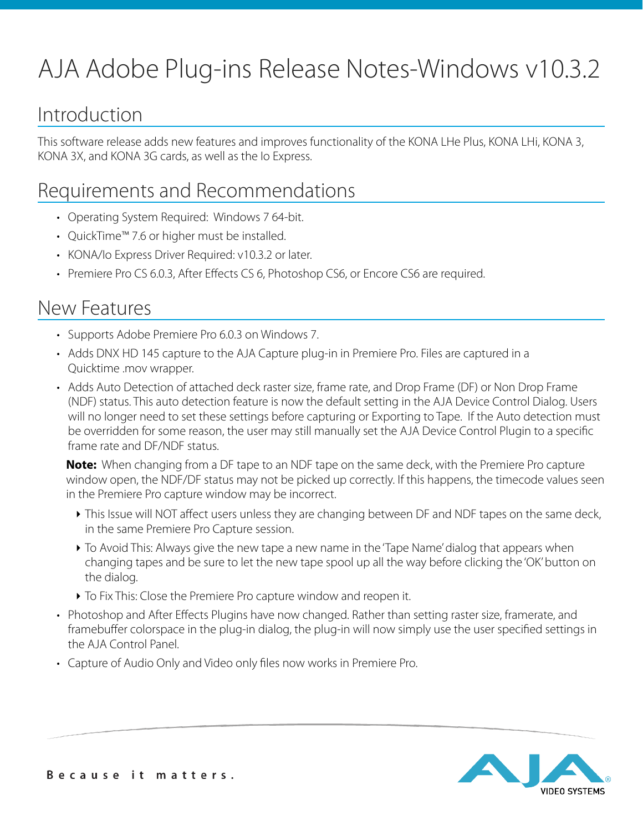# AJA Adobe Plug-ins Release Notes-Windows v10.3.2

# Introduction

This software release adds new features and improves functionality of the KONA LHe Plus, KONA LHi, KONA 3, KONA 3X, and KONA 3G cards, as well as the Io Express.

# Requirements and Recommendations

- Operating System Required: Windows 7 64-bit.
- QuickTime™ 7.6 or higher must be installed.
- KONA/Io Express Driver Required: v10.3.2 or later.
- Premiere Pro CS 6.0.3, After Effects CS 6, Photoshop CS6, or Encore CS6 are required.

### New Features

- Supports Adobe Premiere Pro 6.0.3 on Windows 7.
- Adds DNX HD 145 capture to the AJA Capture plug-in in Premiere Pro. Files are captured in a Quicktime .mov wrapper.
- Adds Auto Detection of attached deck raster size, frame rate, and Drop Frame (DF) or Non Drop Frame (NDF) status. This auto detection feature is now the default setting in the AJA Device Control Dialog. Users will no longer need to set these settings before capturing or Exporting to Tape. If the Auto detection must be overridden for some reason, the user may still manually set the AJA Device Control Plugin to a specific frame rate and DF/NDF status.

**Note:** When changing from a DF tape to an NDF tape on the same deck, with the Premiere Pro capture window open, the NDF/DF status may not be picked up correctly. If this happens, the timecode values seen in the Premiere Pro capture window may be incorrect.

- ‣ This Issue will NOT affect users unless they are changing between DF and NDF tapes on the same deck, in the same Premiere Pro Capture session.
- ‣ To Avoid This: Always give the new tape a new name in the 'Tape Name' dialog that appears when changing tapes and be sure to let the new tape spool up all the way before clicking the 'OK' button on the dialog.
- ‣ To Fix This: Close the Premiere Pro capture window and reopen it.
- Photoshop and After Effects Plugins have now changed. Rather than setting raster size, framerate, and framebuffer colorspace in the plug-in dialog, the plug-in will now simply use the user specified settings in the AJA Control Panel.
- Capture of Audio Only and Video only files now works in Premiere Pro.

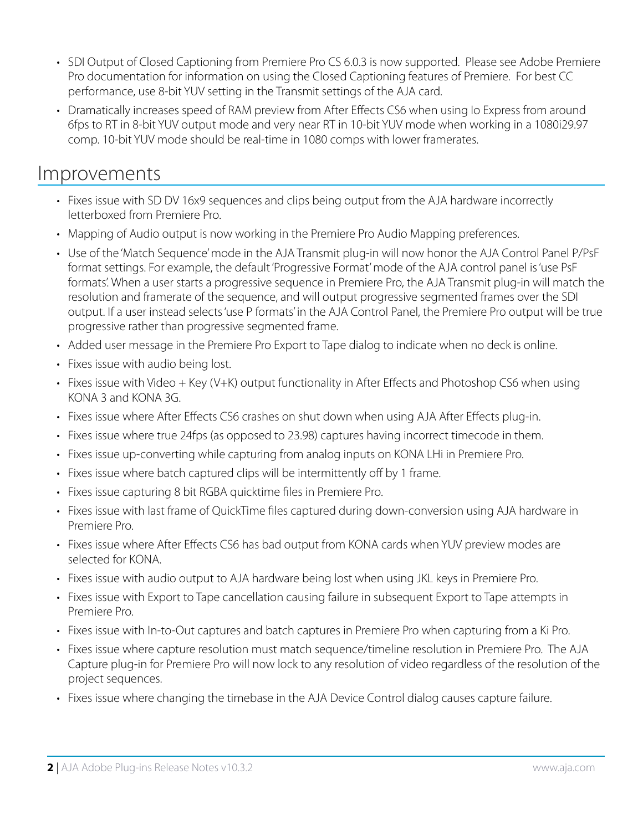- SDI Output of Closed Captioning from Premiere Pro CS 6.0.3 is now supported. Please see Adobe Premiere Pro documentation for information on using the Closed Captioning features of Premiere. For best CC performance, use 8-bit YUV setting in the Transmit settings of the AJA card.
- Dramatically increases speed of RAM preview from After Effects CS6 when using Io Express from around 6fps to RT in 8-bit YUV output mode and very near RT in 10-bit YUV mode when working in a 1080i29.97 comp. 10-bit YUV mode should be real-time in 1080 comps with lower framerates.

#### Improvements

- Fixes issue with SD DV 16x9 sequences and clips being output from the AJA hardware incorrectly letterboxed from Premiere Pro.
- Mapping of Audio output is now working in the Premiere Pro Audio Mapping preferences.
- Use of the 'Match Sequence' mode in the AJA Transmit plug-in will now honor the AJA Control Panel P/PsF format settings. For example, the default 'Progressive Format' mode of the AJA control panel is 'use PsF formats'. When a user starts a progressive sequence in Premiere Pro, the AJA Transmit plug-in will match the resolution and framerate of the sequence, and will output progressive segmented frames over the SDI output. If a user instead selects 'use P formats' in the AJA Control Panel, the Premiere Pro output will be true progressive rather than progressive segmented frame.
- Added user message in the Premiere Pro Export to Tape dialog to indicate when no deck is online.
- Fixes issue with audio being lost.
- Fixes issue with Video + Key (V+K) output functionality in After Effects and Photoshop CS6 when using KONA 3 and KONA 3G.
- Fixes issue where After Effects CS6 crashes on shut down when using AJA After Effects plug-in.
- Fixes issue where true 24fps (as opposed to 23.98) captures having incorrect timecode in them.
- Fixes issue up-converting while capturing from analog inputs on KONA LHi in Premiere Pro.
- Fixes issue where batch captured clips will be intermittently off by 1 frame.
- Fixes issue capturing 8 bit RGBA quicktime files in Premiere Pro.
- Fixes issue with last frame of QuickTime files captured during down-conversion using AJA hardware in Premiere Pro.
- Fixes issue where After Effects CS6 has bad output from KONA cards when YUV preview modes are selected for KONA.
- Fixes issue with audio output to AJA hardware being lost when using JKL keys in Premiere Pro.
- Fixes issue with Export to Tape cancellation causing failure in subsequent Export to Tape attempts in Premiere Pro.
- Fixes issue with In-to-Out captures and batch captures in Premiere Pro when capturing from a Ki Pro.
- Fixes issue where capture resolution must match sequence/timeline resolution in Premiere Pro. The AJA Capture plug-in for Premiere Pro will now lock to any resolution of video regardless of the resolution of the project sequences.
- Fixes issue where changing the timebase in the AJA Device Control dialog causes capture failure.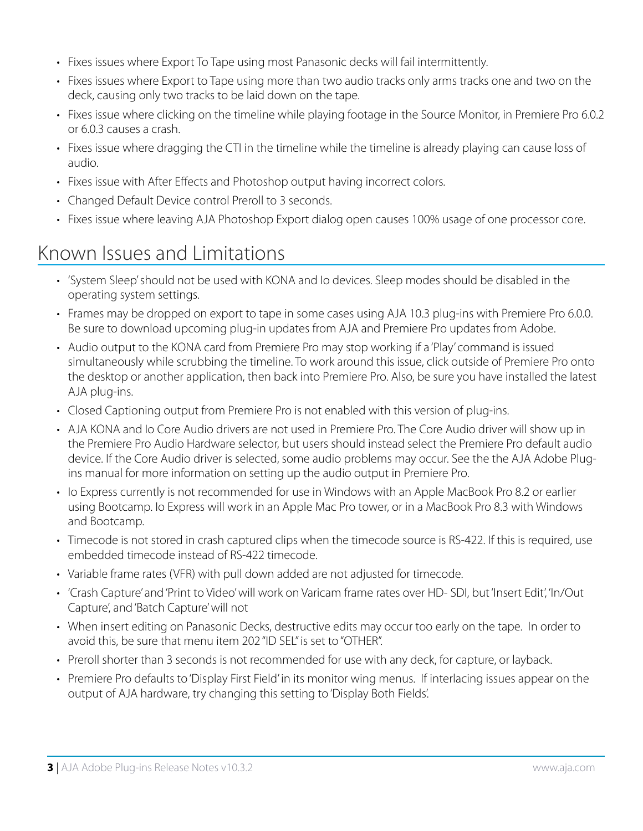- Fixes issues where Export To Tape using most Panasonic decks will fail intermittently.
- Fixes issues where Export to Tape using more than two audio tracks only arms tracks one and two on the deck, causing only two tracks to be laid down on the tape.
- Fixes issue where clicking on the timeline while playing footage in the Source Monitor, in Premiere Pro 6.0.2 or 6.0.3 causes a crash.
- Fixes issue where dragging the CTI in the timeline while the timeline is already playing can cause loss of audio.
- Fixes issue with After Effects and Photoshop output having incorrect colors.
- Changed Default Device control Preroll to 3 seconds.
- Fixes issue where leaving AJA Photoshop Export dialog open causes 100% usage of one processor core.

# Known Issues and Limitations

- 'System Sleep' should not be used with KONA and Io devices. Sleep modes should be disabled in the operating system settings.
- Frames may be dropped on export to tape in some cases using AJA 10.3 plug-ins with Premiere Pro 6.0.0. Be sure to download upcoming plug-in updates from AJA and Premiere Pro updates from Adobe.
- Audio output to the KONA card from Premiere Pro may stop working if a 'Play' command is issued simultaneously while scrubbing the timeline. To work around this issue, click outside of Premiere Pro onto the desktop or another application, then back into Premiere Pro. Also, be sure you have installed the latest AJA plug-ins.
- Closed Captioning output from Premiere Pro is not enabled with this version of plug-ins.
- AJA KONA and Io Core Audio drivers are not used in Premiere Pro. The Core Audio driver will show up in the Premiere Pro Audio Hardware selector, but users should instead select the Premiere Pro default audio device. If the Core Audio driver is selected, some audio problems may occur. See the the AJA Adobe Plugins manual for more information on setting up the audio output in Premiere Pro.
- Io Express currently is not recommended for use in Windows with an Apple MacBook Pro 8.2 or earlier using Bootcamp. Io Express will work in an Apple Mac Pro tower, or in a MacBook Pro 8.3 with Windows and Bootcamp.
- Timecode is not stored in crash captured clips when the timecode source is RS-422. If this is required, use embedded timecode instead of RS-422 timecode.
- Variable frame rates (VFR) with pull down added are not adjusted for timecode.
- 'Crash Capture' and 'Print to Video' will work on Varicam frame rates over HD- SDI, but 'Insert Edit', 'In/Out Capture', and 'Batch Capture' will not
- When insert editing on Panasonic Decks, destructive edits may occur too early on the tape. In order to avoid this, be sure that menu item 202 "ID SEL" is set to "OTHER".
- Preroll shorter than 3 seconds is not recommended for use with any deck, for capture, or layback.
- Premiere Pro defaults to 'Display First Field' in its monitor wing menus. If interlacing issues appear on the output of AJA hardware, try changing this setting to 'Display Both Fields'.